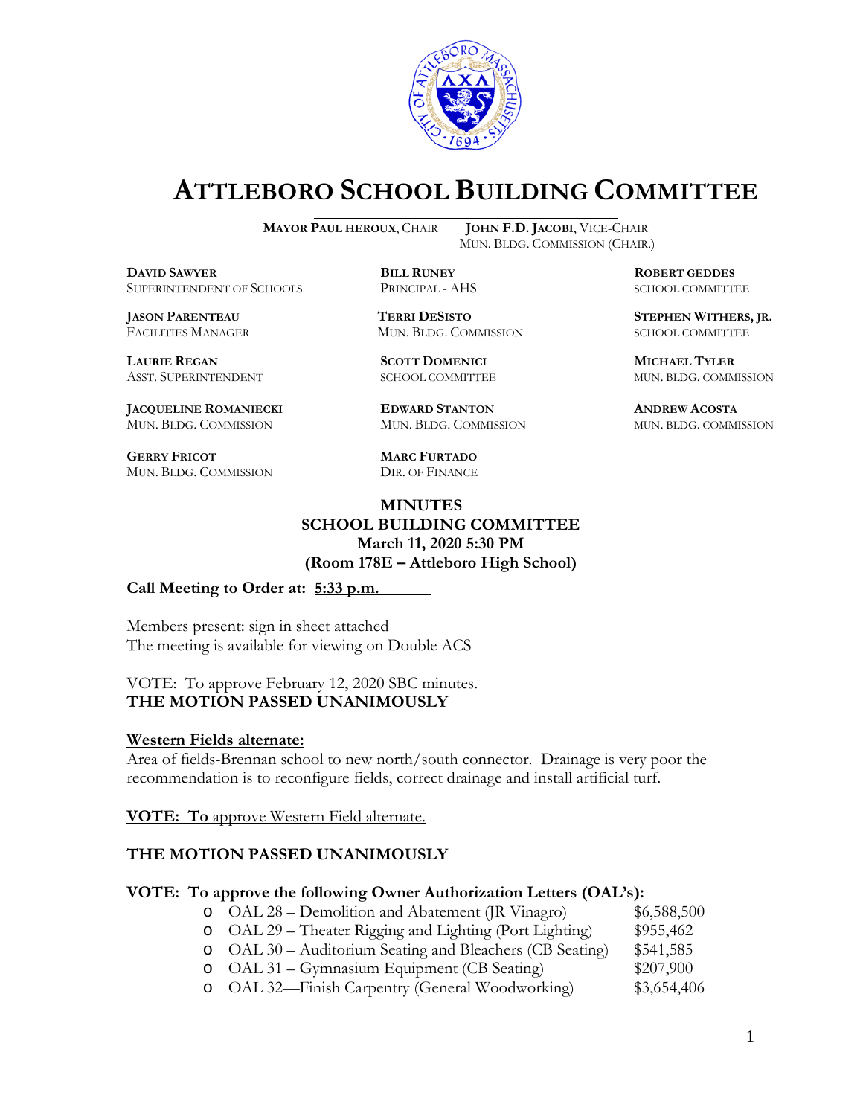

# **ATTLEBORO SCHOOL BUILDING COMMITTEE**

**MAYOR PAUL HEROUX**, CHAIR **JOHN F.D. JACOBI**, VICE-CHAIR

**DAVID SAWYER BILL RUNEY ROBERT GEDDES** SUPERINTENDENT OF SCHOOLS PRINCIPAL - AHS SCHOOL COMMITTEE

FACILITIES MANAGER MUN. BLDG. COMMISSION SCHOOL COMMITTEE

**LAURIE REGAN SCOTT DOMENICI MICHAEL TYLER**

**JACQUELINE ROMANIECKI EDWARD STANTON ANDREW ACOSTA** MUN. BLDG. COMMISSION MUN. BLDG. COMMISSION MUN. BLDG. COMMISSION

**GERRY FRICOT MARC FURTADO** MUN. BLDG. COMMISSION DIR. OF FINANCE

MUN. BLDG. COMMISSION (CHAIR.)

**JASON PARENTEAU TERRI DESISTO STEPHEN WITHERS, JR.**

ASST. SUPERINTENDENT SCHOOL COMMITTEE MUN. BLDG. COMMISSION

**MINUTES SCHOOL BUILDING COMMITTEE March 11, 2020 5:30 PM (Room 178E – Attleboro High School)**

### **Call Meeting to Order at: 5:33 p.m.**

Members present: sign in sheet attached The meeting is available for viewing on Double ACS

VOTE: To approve February 12, 2020 SBC minutes. **THE MOTION PASSED UNANIMOUSLY**

### **Western Fields alternate:**

Area of fields-Brennan school to new north/south connector. Drainage is very poor the recommendation is to reconfigure fields, correct drainage and install artificial turf.

**VOTE: To** approve Western Field alternate.

### **THE MOTION PASSED UNANIMOUSLY**

### **VOTE: To approve the following Owner Authorization Letters (OAL's):**

- o OAL 28 Demolition and Abatement (JR Vinagro) \$6,588,500<br>
o OAL 29 Theater Rigging and Lighting (Port Lighting) \$955,462 o OAL 29 – Theater Rigging and Lighting (Port Lighting) \$955,462<br>
o OAL 30 – Auditorium Seating and Bleachers (CB Seating) \$541,585
- o OAL 30 Auditorium Seating and Bleachers (CB Seating) \$541,585
- o OAL 31 Gymnasium Equipment (CB Seating) \$207,900<br>
o OAL 32—Finish Carpentry (General Woodworking) \$3,654,406
- o OAL 32—Finish Carpentry (General Woodworking)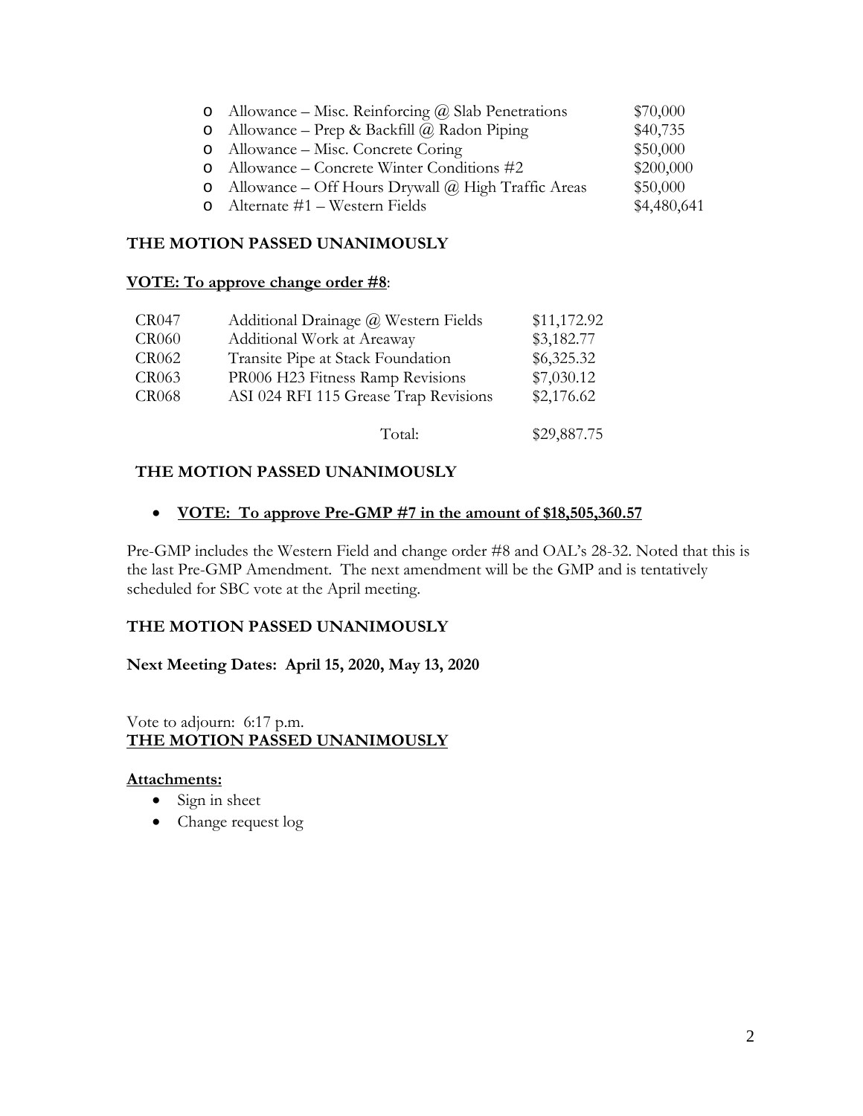|          | o Allowance – Misc. Reinforcing $\omega$ Slab Penetrations | \$70,000    |
|----------|------------------------------------------------------------|-------------|
|          | o Allowance – Prep & Backfill $\omega$ Radon Piping        | \$40,735    |
|          | o Allowance – Misc. Concrete Coring                        | \$50,000    |
|          | Allowance – Concrete Winter Conditions #2                  | \$200,000   |
| $\circ$  | Allowance – Off Hours Drywall $\omega$ High Traffic Areas  | \$50,000    |
| $\Omega$ | Alternate #1 – Western Fields                              | \$4,480,641 |

# **THE MOTION PASSED UNANIMOUSLY**

## **VOTE: To approve change order #8**:

| CR047        | Additional Drainage @ Western Fields  | \$11,172.92 |
|--------------|---------------------------------------|-------------|
| <b>CR060</b> | Additional Work at Areaway            | \$3,182.77  |
| CR062        | Transite Pipe at Stack Foundation     | \$6,325.32  |
| CR063        | PR006 H23 Fitness Ramp Revisions      | \$7,030.12  |
| <b>CR068</b> | ASI 024 RFI 115 Grease Trap Revisions | \$2,176.62  |
|              |                                       |             |

# Total: \$29,887.75

# **THE MOTION PASSED UNANIMOUSLY**

# • **VOTE: To approve Pre-GMP #7 in the amount of \$18,505,360.57**

Pre-GMP includes the Western Field and change order #8 and OAL's 28-32. Noted that this is the last Pre-GMP Amendment. The next amendment will be the GMP and is tentatively scheduled for SBC vote at the April meeting.

### **THE MOTION PASSED UNANIMOUSLY**

### **Next Meeting Dates: April 15, 2020, May 13, 2020**

### Vote to adjourn: 6:17 p.m. **THE MOTION PASSED UNANIMOUSLY**

### **Attachments:**

- Sign in sheet
- Change request log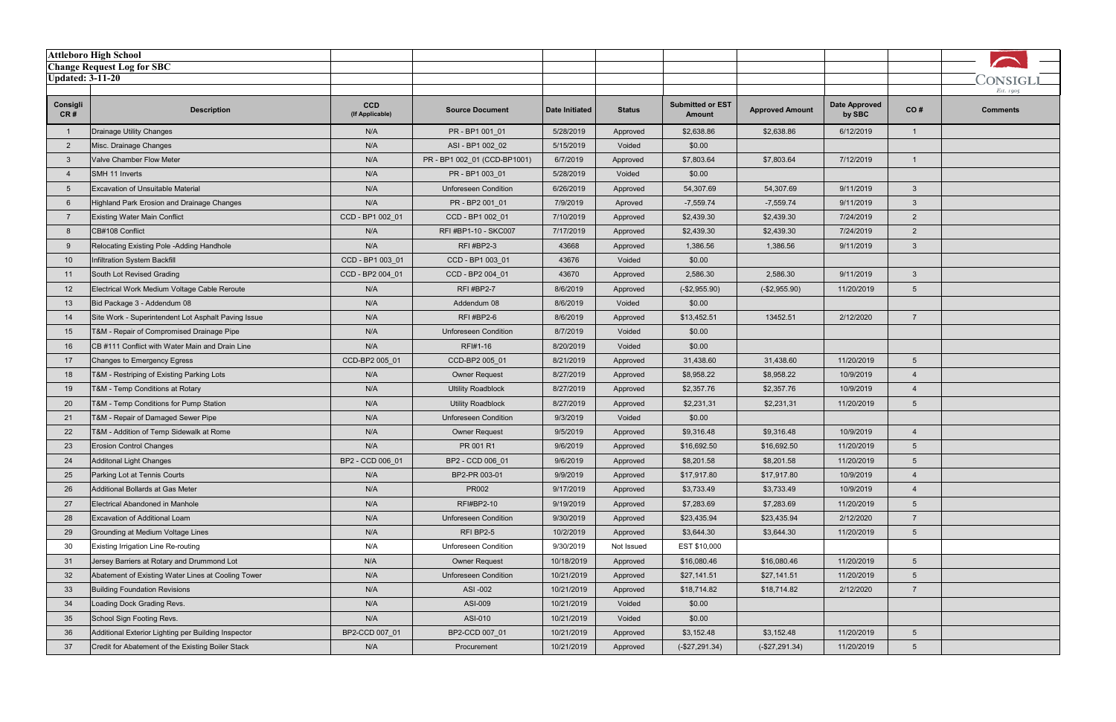|                         | <b>Attleboro High School</b>                        |                               |                              |                       |               |                                          |                        |                                |                 |                       |
|-------------------------|-----------------------------------------------------|-------------------------------|------------------------------|-----------------------|---------------|------------------------------------------|------------------------|--------------------------------|-----------------|-----------------------|
|                         | <b>Change Request Log for SBC</b>                   |                               |                              |                       |               |                                          |                        |                                |                 |                       |
| <b>Updated: 3-11-20</b> |                                                     |                               |                              |                       |               |                                          |                        |                                |                 | CONSIGLI<br>Est. 1905 |
| Consigli<br>CR#         | <b>Description</b>                                  | <b>CCD</b><br>(If Applicable) | <b>Source Document</b>       | <b>Date Initiated</b> | <b>Status</b> | <b>Submitted or EST</b><br><b>Amount</b> | <b>Approved Amount</b> | <b>Date Approved</b><br>by SBC | CO#             | <b>Comments</b>       |
|                         | Drainage Utility Changes                            | N/A                           | PR - BP1 001_01              | 5/28/2019             | Approved      | \$2,638.86                               | \$2,638.86             | 6/12/2019                      | -1              |                       |
| $\overline{2}$          | Misc. Drainage Changes                              | N/A                           | ASI - BP1 002_02             | 5/15/2019             | Voided        | \$0.00                                   |                        |                                |                 |                       |
| -3                      | Valve Chamber Flow Meter                            | N/A                           | PR - BP1 002_01 (CCD-BP1001) | 6/7/2019              | Approved      | \$7,803.64                               | \$7,803.64             | 7/12/2019                      | $\overline{1}$  |                       |
| $\overline{4}$          | SMH 11 Inverts                                      | N/A                           | PR-BP100301                  | 5/28/2019             | Voided        | \$0.00                                   |                        |                                |                 |                       |
| 5                       | Excavation of Unsuitable Material                   | N/A                           | <b>Unforeseen Condition</b>  | 6/26/2019             | Approved      | 54,307.69                                | 54,307.69              | 9/11/2019                      | $\mathbf{3}$    |                       |
| 6                       | Highland Park Erosion and Drainage Changes          | N/A                           | PR - BP2 001_01              | 7/9/2019              | Aproved       | $-7,559.74$                              | $-7,559.74$            | 9/11/2019                      | $\mathbf{3}$    |                       |
|                         | <b>Existing Water Main Conflict</b>                 | CCD - BP1 002_01              | CCD - BP1 002_01             | 7/10/2019             | Approved      | \$2,439.30                               | \$2,439.30             | 7/24/2019                      | $\overline{2}$  |                       |
| -8                      | CB#108 Conflict                                     | N/A                           | RFI #BP1-10 - SKC007         | 7/17/2019             | Approved      | \$2,439.30                               | \$2,439.30             | 7/24/2019                      | $\overline{2}$  |                       |
| 9                       | Relocating Existing Pole -Adding Handhole           | N/A                           | <b>RFI #BP2-3</b>            | 43668                 | Approved      | 1,386.56                                 | 1,386.56               | 9/11/2019                      | $\mathbf{3}$    |                       |
| 10                      | Infiltration System Backfill                        | CCD - BP1 003 01              | CCD - BP1 003 01             | 43676                 | Voided        | \$0.00                                   |                        |                                |                 |                       |
| 11                      | South Lot Revised Grading                           | CCD - BP2 004 01              | CCD - BP2 004 01             | 43670                 | Approved      | 2,586.30                                 | 2,586.30               | 9/11/2019                      | $\mathbf{3}$    |                       |
| 12                      | Electrical Work Medium Voltage Cable Reroute        | N/A                           | RFI#BP2-7                    | 8/6/2019              | Approved      | $(-$2,955.90)$                           | $(-$2,955.90)$         | 11/20/2019                     | $5\overline{)}$ |                       |
| 13                      | Bid Package 3 - Addendum 08                         | N/A                           | Addendum 08                  | 8/6/2019              | Voided        | \$0.00                                   |                        |                                |                 |                       |
| 14                      | Site Work - Superintendent Lot Asphalt Paving Issue | N/A                           | RFI#BP2-6                    | 8/6/2019              | Approved      | \$13,452.51                              | 13452.51               | 2/12/2020                      | $\overline{7}$  |                       |
| 15                      | T&M - Repair of Compromised Drainage Pipe           | N/A                           | <b>Unforeseen Condition</b>  | 8/7/2019              | Voided        | \$0.00                                   |                        |                                |                 |                       |
| 16                      | CB #111 Conflict with Water Main and Drain Line     | N/A                           | RFI#1-16                     | 8/20/2019             | Voided        | \$0.00                                   |                        |                                |                 |                       |
| 17                      | Changes to Emergency Egress                         | CCD-BP2 005_01                | CCD-BP2 005 01               | 8/21/2019             | Approved      | 31,438.60                                | 31,438.60              | 11/20/2019                     | $5\overline{)}$ |                       |
| 18                      | T&M - Restriping of Existing Parking Lots           | N/A                           | <b>Owner Request</b>         | 8/27/2019             | Approved      | \$8,958.22                               | \$8,958.22             | 10/9/2019                      | $\overline{4}$  |                       |
| 19                      | T&M - Temp Conditions at Rotary                     | N/A                           | <b>Ultility Roadblock</b>    | 8/27/2019             | Approved      | \$2,357.76                               | \$2,357.76             | 10/9/2019                      | $\overline{4}$  |                       |
| 20                      | T&M - Temp Conditions for Pump Station              | N/A                           | <b>Utility Roadblock</b>     | 8/27/2019             | Approved      | \$2,231,31                               | \$2,231,31             | 11/20/2019                     | $5\overline{)}$ |                       |
| 21                      | T&M - Repair of Damaged Sewer Pipe                  | N/A                           | <b>Unforeseen Condition</b>  | 9/3/2019              | Voided        | \$0.00                                   |                        |                                |                 |                       |
| 22                      | T&M - Addition of Temp Sidewalk at Rome             | N/A                           | <b>Owner Request</b>         | 9/5/2019              | Approved      | \$9,316.48                               | \$9,316.48             | 10/9/2019                      | $\overline{4}$  |                       |
| 23                      | <b>Erosion Control Changes</b>                      | N/A                           | PR 001 R1                    | 9/6/2019              | Approved      | \$16,692.50                              | \$16,692.50            | 11/20/2019                     | $5\overline{)}$ |                       |
| 24                      | Additonal Light Changes                             | BP2 - CCD 006 01              | BP2 - CCD 006_01             | 9/6/2019              | Approved      | \$8,201.58                               | \$8,201.58             | 11/20/2019                     | 5               |                       |
| 25                      | Parking Lot at Tennis Courts                        | N/A                           | BP2-PR 003-01                | 9/9/2019              | Approved      | \$17,917.80                              | \$17,917.80            | 10/9/2019                      | $\overline{4}$  |                       |
| 26                      | Additional Bollards at Gas Meter                    | N/A                           | PR002                        | 9/17/2019             | Approved      | \$3,733.49                               | \$3,733.49             | 10/9/2019                      | $\overline{4}$  |                       |
| 27                      | Electrical Abandoned in Manhole                     | N/A                           | <b>RFI#BP2-10</b>            | 9/19/2019             | Approved      | \$7,283.69                               | \$7,283.69             | 11/20/2019                     | $5\overline{)}$ |                       |
| 28                      | Excavation of Additional Loam                       | N/A                           | <b>Unforeseen Condition</b>  | 9/30/2019             | Approved      | \$23,435.94                              | \$23,435.94            | 2/12/2020                      | $\overline{7}$  |                       |
| 29                      | Grounding at Medium Voltage Lines                   | N/A                           | RFI BP2-5                    | 10/2/2019             | Approved      | \$3,644.30                               | \$3,644.30             | 11/20/2019                     | $5\overline{)}$ |                       |
| 30                      | Existing Irrigation Line Re-routing                 | N/A                           | Unforeseen Condition         | 9/30/2019             | Not Issued    | EST \$10,000                             |                        |                                |                 |                       |
| 31                      | Jersey Barriers at Rotary and Drummond Lot          | N/A                           | <b>Owner Request</b>         | 10/18/2019            | Approved      | \$16,080.46                              | \$16,080.46            | 11/20/2019                     | 5               |                       |
| 32                      | Abatement of Existing Water Lines at Cooling Tower  | N/A                           | <b>Unforeseen Condition</b>  | 10/21/2019            | Approved      | \$27,141.51                              | \$27,141.51            | 11/20/2019                     | $5\overline{)}$ |                       |
| 33                      | <b>Building Foundation Revisions</b>                | N/A                           | ASI -002                     | 10/21/2019            | Approved      | \$18,714.82                              | \$18,714.82            | 2/12/2020                      | $\overline{7}$  |                       |
| 34                      | Loading Dock Grading Revs.                          | N/A                           | ASI-009                      | 10/21/2019            | Voided        | \$0.00                                   |                        |                                |                 |                       |
| 35                      | School Sign Footing Revs.                           | N/A                           | ASI-010                      | 10/21/2019            | Voided        | \$0.00                                   |                        |                                |                 |                       |
| 36                      | Additional Exterior Lighting per Building Inspector | BP2-CCD 007_01                | BP2-CCD 007 01               | 10/21/2019            | Approved      | \$3,152.48                               | \$3,152.48             | 11/20/2019                     | $5\overline{)}$ |                       |
| 37                      | Credit for Abatement of the Existing Boiler Stack   | N/A                           | Procurement                  | 10/21/2019            | Approved      | $(-$27,291.34)$                          | $(-$27,291.34)$        | 11/20/2019                     | $5\overline{)}$ |                       |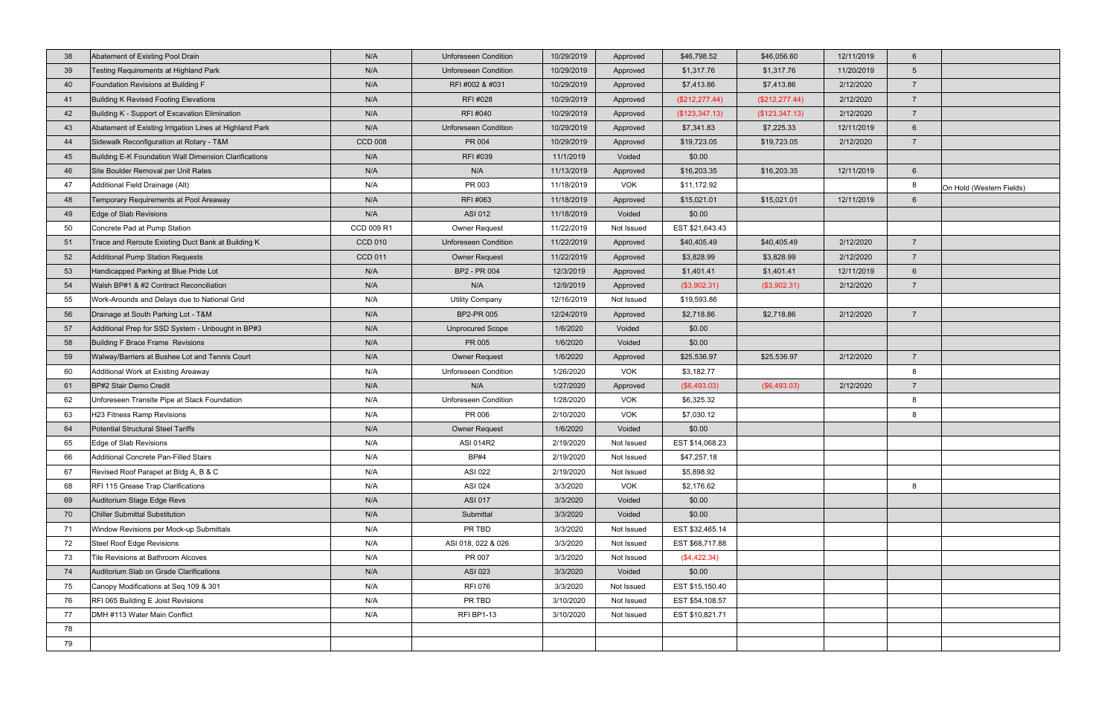| 39<br>Testing Requirements at Highland Park<br>N/A<br><b>Unforeseen Condition</b><br>11/20/2019<br>10/29/2019<br>\$1,317.76<br>\$1,317.76<br>$5\overline{)}$<br>Approved<br>N/A<br>40<br>Foundation Revisions at Building F<br>RFI #002 & #031<br>10/29/2019<br>\$7,413.86<br>\$7,413.86<br>2/12/2020<br>$\overline{7}$<br>Approved<br>Building K Revised Footing Elevations<br>N/A<br>RFI #028<br>(\$212, 277.44)<br>10/29/2019<br>(\$212, 277.44)<br>2/12/2020<br>$\overline{7}$<br>Approved<br>41<br>Building K - Support of Excavation Elimination<br>N/A<br>RFI #040<br>42<br>10/29/2019<br>(\$123,347.13)<br>2/12/2020<br>$\overline{7}$<br>Approved<br>(\$123, 347.13)<br>Abatement of Existing Irrigation Lines at Highland Park<br>N/A<br><b>Unforeseen Condition</b><br>\$7,341.83<br>12/11/2019<br>43<br>10/29/2019<br>\$7,225.33<br>$6^{\circ}$<br>Approved<br>Sidewalk Reconfiguration at Rotary - T&M<br><b>CCD 008</b><br>2/12/2020<br>PR 004<br>10/29/2019<br>\$19,723.05<br>\$19,723.05<br>$\overline{7}$<br>44<br>Approved<br>Building E-K Foundation Wall Dimension Clarifications<br>N/A<br>RFI #039<br>45<br>11/1/2019<br>Voided<br>\$0.00<br>N/A<br>46<br>Site Boulder Removal per Unit Rates<br>N/A<br>11/13/2019<br>\$16,203.35<br>\$16,203.35<br>12/11/2019<br>$6\overline{6}$<br>Approved<br>Additional Field Drainage (Alt)<br>N/A<br>PR 003<br><b>VOK</b><br>\$11,172.92<br>8<br>47<br>11/18/2019<br>On Hold (Western Fields)<br>N/A<br>RFI #063<br>Temporary Requirements at Pool Areaway<br>11/18/2019<br>\$15,021.01<br>\$15,021.01<br>12/11/2019<br>$6\phantom{1}$<br>48<br>Approved<br>N/A<br>49<br>Edge of Slab Revisions<br>ASI 012<br>11/18/2019<br>Voided<br>\$0.00<br>50<br>Concrete Pad at Pump Station<br>CCD 009 R1<br><b>Owner Request</b><br>11/22/2019<br>EST \$21,643.43<br>Not Issued<br>Trace and Reroute Existing Duct Bank at Building K<br><b>CCD 010</b><br><b>Unforeseen Condition</b><br>11/22/2019<br>\$40,405.49<br>2/12/2020<br>$\overline{7}$<br>\$40,405.49<br>51<br>Approved<br>Additional Pump Station Requests<br>52<br><b>CCD 011</b><br><b>Owner Request</b><br>11/22/2019<br>\$3,828.99<br>\$3,828.99<br>2/12/2020<br>$\overline{7}$<br>Approved<br>53<br>Handicapped Parking at Blue Pride Lot<br>N/A<br>BP2 - PR 004<br>12/11/2019<br>$6\overline{6}$<br>12/3/2019<br>\$1,401.41<br>\$1,401.41<br>Approved<br>Walsh BP#1 & #2 Contract Reconciliation<br>N/A<br>N/A<br>54<br>12/9/2019<br>(\$3,902.31)<br>(\$3,902.31)<br>2/12/2020<br>$\overline{7}$<br>Approved<br>55<br>N/A<br>\$19,593.86<br>Work-Arounds and Delays due to National Grid<br><b>Utility Company</b><br>12/16/2019<br>Not Issued<br>56<br>Drainage at South Parking Lot - T&M<br>N/A<br>BP2-PR 005<br>\$2,718.86<br>2/12/2020<br>$\overline{7}$<br>12/24/2019<br>\$2,718.86<br>Approved<br>57<br>Additional Prep for SSD System - Unbought in BP#3<br>N/A<br><b>Unprocured Scope</b><br>1/6/2020<br>\$0.00<br>Voided<br>58<br>N/A<br>PR 005<br>Building F Brace Frame Revisions<br>1/6/2020<br>Voided<br>\$0.00<br>N/A<br>59<br>Walway/Barriers at Bushee Lot and Tennis Court<br><b>Owner Request</b><br>1/6/2020<br>\$25,536.97<br>\$25,536.97<br>2/12/2020<br>$\overline{7}$<br>Approved<br><b>Unforeseen Condition</b><br>60<br>Additional Work at Existing Areaway<br>N/A<br>1/26/2020<br><b>VOK</b><br>\$3,182.77<br>8<br>BP#2 Stair Demo Credit<br>N/A<br>N/A<br>1/27/2020<br>(\$6,493.03)<br>2/12/2020<br>$\overline{7}$<br>61<br>(\$6,493.03)<br>Approved<br>N/A<br><b>VOK</b><br>8<br>62<br>Unforeseen Transite Pipe at Stack Foundation<br><b>Unforeseen Condition</b><br>1/28/2020<br>\$6,325.32<br>N/A<br>PR 006<br><b>VOK</b><br>63<br>H23 Fitness Ramp Revisions<br>2/10/2020<br>\$7,030.12<br>8<br>Potential Structural Steel Tariffs<br>N/A<br>Voided<br>\$0.00<br>64<br><b>Owner Request</b><br>1/6/2020<br>Edge of Slab Revisions<br>ASI 014R2<br>65<br>N/A<br>2/19/2020<br>EST \$14,068.23<br>Not Issued<br>2/19/2020<br>\$47,257.18<br>Additional Concrete Pan-Filled Stairs<br>N/A<br><b>BP#4</b><br>66<br>Not Issued | 38 | Abatement of Existing Pool Drain | N/A | <b>Unforeseen Condition</b> | 10/29/2019 | Approved | \$46,798.52 | \$46,056.60 | 12/11/2019 | $6^{\circ}$ |  |
|----------------------------------------------------------------------------------------------------------------------------------------------------------------------------------------------------------------------------------------------------------------------------------------------------------------------------------------------------------------------------------------------------------------------------------------------------------------------------------------------------------------------------------------------------------------------------------------------------------------------------------------------------------------------------------------------------------------------------------------------------------------------------------------------------------------------------------------------------------------------------------------------------------------------------------------------------------------------------------------------------------------------------------------------------------------------------------------------------------------------------------------------------------------------------------------------------------------------------------------------------------------------------------------------------------------------------------------------------------------------------------------------------------------------------------------------------------------------------------------------------------------------------------------------------------------------------------------------------------------------------------------------------------------------------------------------------------------------------------------------------------------------------------------------------------------------------------------------------------------------------------------------------------------------------------------------------------------------------------------------------------------------------------------------------------------------------------------------------------------------------------------------------------------------------------------------------------------------------------------------------------------------------------------------------------------------------------------------------------------------------------------------------------------------------------------------------------------------------------------------------------------------------------------------------------------------------------------------------------------------------------------------------------------------------------------------------------------------------------------------------------------------------------------------------------------------------------------------------------------------------------------------------------------------------------------------------------------------------------------------------------------------------------------------------------------------------------------------------------------------------------------------------------------------------------------------------------------------------------------------------------------------------------------------------------------------------------------------------------------------------------------------------------------------------------------------------------------------------------------------------------------------------------------------------------------------------------------------------------------------------------------------------------------------------------------------------------------------------------------------------------------------------------------------------------------------------------------------------------------------------------------------------------------------------------------------------------------------------------------------------------------------------------------------------------------------------------|----|----------------------------------|-----|-----------------------------|------------|----------|-------------|-------------|------------|-------------|--|
|                                                                                                                                                                                                                                                                                                                                                                                                                                                                                                                                                                                                                                                                                                                                                                                                                                                                                                                                                                                                                                                                                                                                                                                                                                                                                                                                                                                                                                                                                                                                                                                                                                                                                                                                                                                                                                                                                                                                                                                                                                                                                                                                                                                                                                                                                                                                                                                                                                                                                                                                                                                                                                                                                                                                                                                                                                                                                                                                                                                                                                                                                                                                                                                                                                                                                                                                                                                                                                                                                                                                                                                                                                                                                                                                                                                                                                                                                                                                                                                                                                                                                  |    |                                  |     |                             |            |          |             |             |            |             |  |
|                                                                                                                                                                                                                                                                                                                                                                                                                                                                                                                                                                                                                                                                                                                                                                                                                                                                                                                                                                                                                                                                                                                                                                                                                                                                                                                                                                                                                                                                                                                                                                                                                                                                                                                                                                                                                                                                                                                                                                                                                                                                                                                                                                                                                                                                                                                                                                                                                                                                                                                                                                                                                                                                                                                                                                                                                                                                                                                                                                                                                                                                                                                                                                                                                                                                                                                                                                                                                                                                                                                                                                                                                                                                                                                                                                                                                                                                                                                                                                                                                                                                                  |    |                                  |     |                             |            |          |             |             |            |             |  |
|                                                                                                                                                                                                                                                                                                                                                                                                                                                                                                                                                                                                                                                                                                                                                                                                                                                                                                                                                                                                                                                                                                                                                                                                                                                                                                                                                                                                                                                                                                                                                                                                                                                                                                                                                                                                                                                                                                                                                                                                                                                                                                                                                                                                                                                                                                                                                                                                                                                                                                                                                                                                                                                                                                                                                                                                                                                                                                                                                                                                                                                                                                                                                                                                                                                                                                                                                                                                                                                                                                                                                                                                                                                                                                                                                                                                                                                                                                                                                                                                                                                                                  |    |                                  |     |                             |            |          |             |             |            |             |  |
|                                                                                                                                                                                                                                                                                                                                                                                                                                                                                                                                                                                                                                                                                                                                                                                                                                                                                                                                                                                                                                                                                                                                                                                                                                                                                                                                                                                                                                                                                                                                                                                                                                                                                                                                                                                                                                                                                                                                                                                                                                                                                                                                                                                                                                                                                                                                                                                                                                                                                                                                                                                                                                                                                                                                                                                                                                                                                                                                                                                                                                                                                                                                                                                                                                                                                                                                                                                                                                                                                                                                                                                                                                                                                                                                                                                                                                                                                                                                                                                                                                                                                  |    |                                  |     |                             |            |          |             |             |            |             |  |
|                                                                                                                                                                                                                                                                                                                                                                                                                                                                                                                                                                                                                                                                                                                                                                                                                                                                                                                                                                                                                                                                                                                                                                                                                                                                                                                                                                                                                                                                                                                                                                                                                                                                                                                                                                                                                                                                                                                                                                                                                                                                                                                                                                                                                                                                                                                                                                                                                                                                                                                                                                                                                                                                                                                                                                                                                                                                                                                                                                                                                                                                                                                                                                                                                                                                                                                                                                                                                                                                                                                                                                                                                                                                                                                                                                                                                                                                                                                                                                                                                                                                                  |    |                                  |     |                             |            |          |             |             |            |             |  |
|                                                                                                                                                                                                                                                                                                                                                                                                                                                                                                                                                                                                                                                                                                                                                                                                                                                                                                                                                                                                                                                                                                                                                                                                                                                                                                                                                                                                                                                                                                                                                                                                                                                                                                                                                                                                                                                                                                                                                                                                                                                                                                                                                                                                                                                                                                                                                                                                                                                                                                                                                                                                                                                                                                                                                                                                                                                                                                                                                                                                                                                                                                                                                                                                                                                                                                                                                                                                                                                                                                                                                                                                                                                                                                                                                                                                                                                                                                                                                                                                                                                                                  |    |                                  |     |                             |            |          |             |             |            |             |  |
|                                                                                                                                                                                                                                                                                                                                                                                                                                                                                                                                                                                                                                                                                                                                                                                                                                                                                                                                                                                                                                                                                                                                                                                                                                                                                                                                                                                                                                                                                                                                                                                                                                                                                                                                                                                                                                                                                                                                                                                                                                                                                                                                                                                                                                                                                                                                                                                                                                                                                                                                                                                                                                                                                                                                                                                                                                                                                                                                                                                                                                                                                                                                                                                                                                                                                                                                                                                                                                                                                                                                                                                                                                                                                                                                                                                                                                                                                                                                                                                                                                                                                  |    |                                  |     |                             |            |          |             |             |            |             |  |
|                                                                                                                                                                                                                                                                                                                                                                                                                                                                                                                                                                                                                                                                                                                                                                                                                                                                                                                                                                                                                                                                                                                                                                                                                                                                                                                                                                                                                                                                                                                                                                                                                                                                                                                                                                                                                                                                                                                                                                                                                                                                                                                                                                                                                                                                                                                                                                                                                                                                                                                                                                                                                                                                                                                                                                                                                                                                                                                                                                                                                                                                                                                                                                                                                                                                                                                                                                                                                                                                                                                                                                                                                                                                                                                                                                                                                                                                                                                                                                                                                                                                                  |    |                                  |     |                             |            |          |             |             |            |             |  |
|                                                                                                                                                                                                                                                                                                                                                                                                                                                                                                                                                                                                                                                                                                                                                                                                                                                                                                                                                                                                                                                                                                                                                                                                                                                                                                                                                                                                                                                                                                                                                                                                                                                                                                                                                                                                                                                                                                                                                                                                                                                                                                                                                                                                                                                                                                                                                                                                                                                                                                                                                                                                                                                                                                                                                                                                                                                                                                                                                                                                                                                                                                                                                                                                                                                                                                                                                                                                                                                                                                                                                                                                                                                                                                                                                                                                                                                                                                                                                                                                                                                                                  |    |                                  |     |                             |            |          |             |             |            |             |  |
|                                                                                                                                                                                                                                                                                                                                                                                                                                                                                                                                                                                                                                                                                                                                                                                                                                                                                                                                                                                                                                                                                                                                                                                                                                                                                                                                                                                                                                                                                                                                                                                                                                                                                                                                                                                                                                                                                                                                                                                                                                                                                                                                                                                                                                                                                                                                                                                                                                                                                                                                                                                                                                                                                                                                                                                                                                                                                                                                                                                                                                                                                                                                                                                                                                                                                                                                                                                                                                                                                                                                                                                                                                                                                                                                                                                                                                                                                                                                                                                                                                                                                  |    |                                  |     |                             |            |          |             |             |            |             |  |
|                                                                                                                                                                                                                                                                                                                                                                                                                                                                                                                                                                                                                                                                                                                                                                                                                                                                                                                                                                                                                                                                                                                                                                                                                                                                                                                                                                                                                                                                                                                                                                                                                                                                                                                                                                                                                                                                                                                                                                                                                                                                                                                                                                                                                                                                                                                                                                                                                                                                                                                                                                                                                                                                                                                                                                                                                                                                                                                                                                                                                                                                                                                                                                                                                                                                                                                                                                                                                                                                                                                                                                                                                                                                                                                                                                                                                                                                                                                                                                                                                                                                                  |    |                                  |     |                             |            |          |             |             |            |             |  |
|                                                                                                                                                                                                                                                                                                                                                                                                                                                                                                                                                                                                                                                                                                                                                                                                                                                                                                                                                                                                                                                                                                                                                                                                                                                                                                                                                                                                                                                                                                                                                                                                                                                                                                                                                                                                                                                                                                                                                                                                                                                                                                                                                                                                                                                                                                                                                                                                                                                                                                                                                                                                                                                                                                                                                                                                                                                                                                                                                                                                                                                                                                                                                                                                                                                                                                                                                                                                                                                                                                                                                                                                                                                                                                                                                                                                                                                                                                                                                                                                                                                                                  |    |                                  |     |                             |            |          |             |             |            |             |  |
|                                                                                                                                                                                                                                                                                                                                                                                                                                                                                                                                                                                                                                                                                                                                                                                                                                                                                                                                                                                                                                                                                                                                                                                                                                                                                                                                                                                                                                                                                                                                                                                                                                                                                                                                                                                                                                                                                                                                                                                                                                                                                                                                                                                                                                                                                                                                                                                                                                                                                                                                                                                                                                                                                                                                                                                                                                                                                                                                                                                                                                                                                                                                                                                                                                                                                                                                                                                                                                                                                                                                                                                                                                                                                                                                                                                                                                                                                                                                                                                                                                                                                  |    |                                  |     |                             |            |          |             |             |            |             |  |
|                                                                                                                                                                                                                                                                                                                                                                                                                                                                                                                                                                                                                                                                                                                                                                                                                                                                                                                                                                                                                                                                                                                                                                                                                                                                                                                                                                                                                                                                                                                                                                                                                                                                                                                                                                                                                                                                                                                                                                                                                                                                                                                                                                                                                                                                                                                                                                                                                                                                                                                                                                                                                                                                                                                                                                                                                                                                                                                                                                                                                                                                                                                                                                                                                                                                                                                                                                                                                                                                                                                                                                                                                                                                                                                                                                                                                                                                                                                                                                                                                                                                                  |    |                                  |     |                             |            |          |             |             |            |             |  |
|                                                                                                                                                                                                                                                                                                                                                                                                                                                                                                                                                                                                                                                                                                                                                                                                                                                                                                                                                                                                                                                                                                                                                                                                                                                                                                                                                                                                                                                                                                                                                                                                                                                                                                                                                                                                                                                                                                                                                                                                                                                                                                                                                                                                                                                                                                                                                                                                                                                                                                                                                                                                                                                                                                                                                                                                                                                                                                                                                                                                                                                                                                                                                                                                                                                                                                                                                                                                                                                                                                                                                                                                                                                                                                                                                                                                                                                                                                                                                                                                                                                                                  |    |                                  |     |                             |            |          |             |             |            |             |  |
|                                                                                                                                                                                                                                                                                                                                                                                                                                                                                                                                                                                                                                                                                                                                                                                                                                                                                                                                                                                                                                                                                                                                                                                                                                                                                                                                                                                                                                                                                                                                                                                                                                                                                                                                                                                                                                                                                                                                                                                                                                                                                                                                                                                                                                                                                                                                                                                                                                                                                                                                                                                                                                                                                                                                                                                                                                                                                                                                                                                                                                                                                                                                                                                                                                                                                                                                                                                                                                                                                                                                                                                                                                                                                                                                                                                                                                                                                                                                                                                                                                                                                  |    |                                  |     |                             |            |          |             |             |            |             |  |
|                                                                                                                                                                                                                                                                                                                                                                                                                                                                                                                                                                                                                                                                                                                                                                                                                                                                                                                                                                                                                                                                                                                                                                                                                                                                                                                                                                                                                                                                                                                                                                                                                                                                                                                                                                                                                                                                                                                                                                                                                                                                                                                                                                                                                                                                                                                                                                                                                                                                                                                                                                                                                                                                                                                                                                                                                                                                                                                                                                                                                                                                                                                                                                                                                                                                                                                                                                                                                                                                                                                                                                                                                                                                                                                                                                                                                                                                                                                                                                                                                                                                                  |    |                                  |     |                             |            |          |             |             |            |             |  |
|                                                                                                                                                                                                                                                                                                                                                                                                                                                                                                                                                                                                                                                                                                                                                                                                                                                                                                                                                                                                                                                                                                                                                                                                                                                                                                                                                                                                                                                                                                                                                                                                                                                                                                                                                                                                                                                                                                                                                                                                                                                                                                                                                                                                                                                                                                                                                                                                                                                                                                                                                                                                                                                                                                                                                                                                                                                                                                                                                                                                                                                                                                                                                                                                                                                                                                                                                                                                                                                                                                                                                                                                                                                                                                                                                                                                                                                                                                                                                                                                                                                                                  |    |                                  |     |                             |            |          |             |             |            |             |  |
|                                                                                                                                                                                                                                                                                                                                                                                                                                                                                                                                                                                                                                                                                                                                                                                                                                                                                                                                                                                                                                                                                                                                                                                                                                                                                                                                                                                                                                                                                                                                                                                                                                                                                                                                                                                                                                                                                                                                                                                                                                                                                                                                                                                                                                                                                                                                                                                                                                                                                                                                                                                                                                                                                                                                                                                                                                                                                                                                                                                                                                                                                                                                                                                                                                                                                                                                                                                                                                                                                                                                                                                                                                                                                                                                                                                                                                                                                                                                                                                                                                                                                  |    |                                  |     |                             |            |          |             |             |            |             |  |
|                                                                                                                                                                                                                                                                                                                                                                                                                                                                                                                                                                                                                                                                                                                                                                                                                                                                                                                                                                                                                                                                                                                                                                                                                                                                                                                                                                                                                                                                                                                                                                                                                                                                                                                                                                                                                                                                                                                                                                                                                                                                                                                                                                                                                                                                                                                                                                                                                                                                                                                                                                                                                                                                                                                                                                                                                                                                                                                                                                                                                                                                                                                                                                                                                                                                                                                                                                                                                                                                                                                                                                                                                                                                                                                                                                                                                                                                                                                                                                                                                                                                                  |    |                                  |     |                             |            |          |             |             |            |             |  |
|                                                                                                                                                                                                                                                                                                                                                                                                                                                                                                                                                                                                                                                                                                                                                                                                                                                                                                                                                                                                                                                                                                                                                                                                                                                                                                                                                                                                                                                                                                                                                                                                                                                                                                                                                                                                                                                                                                                                                                                                                                                                                                                                                                                                                                                                                                                                                                                                                                                                                                                                                                                                                                                                                                                                                                                                                                                                                                                                                                                                                                                                                                                                                                                                                                                                                                                                                                                                                                                                                                                                                                                                                                                                                                                                                                                                                                                                                                                                                                                                                                                                                  |    |                                  |     |                             |            |          |             |             |            |             |  |
|                                                                                                                                                                                                                                                                                                                                                                                                                                                                                                                                                                                                                                                                                                                                                                                                                                                                                                                                                                                                                                                                                                                                                                                                                                                                                                                                                                                                                                                                                                                                                                                                                                                                                                                                                                                                                                                                                                                                                                                                                                                                                                                                                                                                                                                                                                                                                                                                                                                                                                                                                                                                                                                                                                                                                                                                                                                                                                                                                                                                                                                                                                                                                                                                                                                                                                                                                                                                                                                                                                                                                                                                                                                                                                                                                                                                                                                                                                                                                                                                                                                                                  |    |                                  |     |                             |            |          |             |             |            |             |  |
|                                                                                                                                                                                                                                                                                                                                                                                                                                                                                                                                                                                                                                                                                                                                                                                                                                                                                                                                                                                                                                                                                                                                                                                                                                                                                                                                                                                                                                                                                                                                                                                                                                                                                                                                                                                                                                                                                                                                                                                                                                                                                                                                                                                                                                                                                                                                                                                                                                                                                                                                                                                                                                                                                                                                                                                                                                                                                                                                                                                                                                                                                                                                                                                                                                                                                                                                                                                                                                                                                                                                                                                                                                                                                                                                                                                                                                                                                                                                                                                                                                                                                  |    |                                  |     |                             |            |          |             |             |            |             |  |
|                                                                                                                                                                                                                                                                                                                                                                                                                                                                                                                                                                                                                                                                                                                                                                                                                                                                                                                                                                                                                                                                                                                                                                                                                                                                                                                                                                                                                                                                                                                                                                                                                                                                                                                                                                                                                                                                                                                                                                                                                                                                                                                                                                                                                                                                                                                                                                                                                                                                                                                                                                                                                                                                                                                                                                                                                                                                                                                                                                                                                                                                                                                                                                                                                                                                                                                                                                                                                                                                                                                                                                                                                                                                                                                                                                                                                                                                                                                                                                                                                                                                                  |    |                                  |     |                             |            |          |             |             |            |             |  |
|                                                                                                                                                                                                                                                                                                                                                                                                                                                                                                                                                                                                                                                                                                                                                                                                                                                                                                                                                                                                                                                                                                                                                                                                                                                                                                                                                                                                                                                                                                                                                                                                                                                                                                                                                                                                                                                                                                                                                                                                                                                                                                                                                                                                                                                                                                                                                                                                                                                                                                                                                                                                                                                                                                                                                                                                                                                                                                                                                                                                                                                                                                                                                                                                                                                                                                                                                                                                                                                                                                                                                                                                                                                                                                                                                                                                                                                                                                                                                                                                                                                                                  |    |                                  |     |                             |            |          |             |             |            |             |  |
|                                                                                                                                                                                                                                                                                                                                                                                                                                                                                                                                                                                                                                                                                                                                                                                                                                                                                                                                                                                                                                                                                                                                                                                                                                                                                                                                                                                                                                                                                                                                                                                                                                                                                                                                                                                                                                                                                                                                                                                                                                                                                                                                                                                                                                                                                                                                                                                                                                                                                                                                                                                                                                                                                                                                                                                                                                                                                                                                                                                                                                                                                                                                                                                                                                                                                                                                                                                                                                                                                                                                                                                                                                                                                                                                                                                                                                                                                                                                                                                                                                                                                  |    |                                  |     |                             |            |          |             |             |            |             |  |
|                                                                                                                                                                                                                                                                                                                                                                                                                                                                                                                                                                                                                                                                                                                                                                                                                                                                                                                                                                                                                                                                                                                                                                                                                                                                                                                                                                                                                                                                                                                                                                                                                                                                                                                                                                                                                                                                                                                                                                                                                                                                                                                                                                                                                                                                                                                                                                                                                                                                                                                                                                                                                                                                                                                                                                                                                                                                                                                                                                                                                                                                                                                                                                                                                                                                                                                                                                                                                                                                                                                                                                                                                                                                                                                                                                                                                                                                                                                                                                                                                                                                                  |    |                                  |     |                             |            |          |             |             |            |             |  |
|                                                                                                                                                                                                                                                                                                                                                                                                                                                                                                                                                                                                                                                                                                                                                                                                                                                                                                                                                                                                                                                                                                                                                                                                                                                                                                                                                                                                                                                                                                                                                                                                                                                                                                                                                                                                                                                                                                                                                                                                                                                                                                                                                                                                                                                                                                                                                                                                                                                                                                                                                                                                                                                                                                                                                                                                                                                                                                                                                                                                                                                                                                                                                                                                                                                                                                                                                                                                                                                                                                                                                                                                                                                                                                                                                                                                                                                                                                                                                                                                                                                                                  |    |                                  |     |                             |            |          |             |             |            |             |  |
| N/A<br>ASI 022<br>2/19/2020<br>67<br>Revised Roof Parapet at Bldg A, B & C<br>Not Issued<br>\$5,898.92                                                                                                                                                                                                                                                                                                                                                                                                                                                                                                                                                                                                                                                                                                                                                                                                                                                                                                                                                                                                                                                                                                                                                                                                                                                                                                                                                                                                                                                                                                                                                                                                                                                                                                                                                                                                                                                                                                                                                                                                                                                                                                                                                                                                                                                                                                                                                                                                                                                                                                                                                                                                                                                                                                                                                                                                                                                                                                                                                                                                                                                                                                                                                                                                                                                                                                                                                                                                                                                                                                                                                                                                                                                                                                                                                                                                                                                                                                                                                                           |    |                                  |     |                             |            |          |             |             |            |             |  |
| 68<br>RFI 115 Grease Trap Clarifications<br>N/A<br>ASI 024<br>3/3/2020<br><b>VOK</b><br>\$2,176.62<br>8                                                                                                                                                                                                                                                                                                                                                                                                                                                                                                                                                                                                                                                                                                                                                                                                                                                                                                                                                                                                                                                                                                                                                                                                                                                                                                                                                                                                                                                                                                                                                                                                                                                                                                                                                                                                                                                                                                                                                                                                                                                                                                                                                                                                                                                                                                                                                                                                                                                                                                                                                                                                                                                                                                                                                                                                                                                                                                                                                                                                                                                                                                                                                                                                                                                                                                                                                                                                                                                                                                                                                                                                                                                                                                                                                                                                                                                                                                                                                                          |    |                                  |     |                             |            |          |             |             |            |             |  |
| N/A<br>69<br>Auditorium Stage Edge Revs<br><b>ASI 017</b><br>3/3/2020<br>Voided<br>\$0.00                                                                                                                                                                                                                                                                                                                                                                                                                                                                                                                                                                                                                                                                                                                                                                                                                                                                                                                                                                                                                                                                                                                                                                                                                                                                                                                                                                                                                                                                                                                                                                                                                                                                                                                                                                                                                                                                                                                                                                                                                                                                                                                                                                                                                                                                                                                                                                                                                                                                                                                                                                                                                                                                                                                                                                                                                                                                                                                                                                                                                                                                                                                                                                                                                                                                                                                                                                                                                                                                                                                                                                                                                                                                                                                                                                                                                                                                                                                                                                                        |    |                                  |     |                             |            |          |             |             |            |             |  |
| <b>Chiller Submittal Substitution</b><br>N/A<br>70<br>Submittal<br>3/3/2020<br>Voided<br>\$0.00                                                                                                                                                                                                                                                                                                                                                                                                                                                                                                                                                                                                                                                                                                                                                                                                                                                                                                                                                                                                                                                                                                                                                                                                                                                                                                                                                                                                                                                                                                                                                                                                                                                                                                                                                                                                                                                                                                                                                                                                                                                                                                                                                                                                                                                                                                                                                                                                                                                                                                                                                                                                                                                                                                                                                                                                                                                                                                                                                                                                                                                                                                                                                                                                                                                                                                                                                                                                                                                                                                                                                                                                                                                                                                                                                                                                                                                                                                                                                                                  |    |                                  |     |                             |            |          |             |             |            |             |  |
| N/A<br>Window Revisions per Mock-up Submittals<br>PR TBD<br>3/3/2020<br>Not Issued<br>EST \$32,465.14<br>71                                                                                                                                                                                                                                                                                                                                                                                                                                                                                                                                                                                                                                                                                                                                                                                                                                                                                                                                                                                                                                                                                                                                                                                                                                                                                                                                                                                                                                                                                                                                                                                                                                                                                                                                                                                                                                                                                                                                                                                                                                                                                                                                                                                                                                                                                                                                                                                                                                                                                                                                                                                                                                                                                                                                                                                                                                                                                                                                                                                                                                                                                                                                                                                                                                                                                                                                                                                                                                                                                                                                                                                                                                                                                                                                                                                                                                                                                                                                                                      |    |                                  |     |                             |            |          |             |             |            |             |  |
| Steel Roof Edge Revisions<br>N/A<br>ASI 018, 022 & 026<br>EST \$68,717.88<br>72<br>3/3/2020<br>Not Issued                                                                                                                                                                                                                                                                                                                                                                                                                                                                                                                                                                                                                                                                                                                                                                                                                                                                                                                                                                                                                                                                                                                                                                                                                                                                                                                                                                                                                                                                                                                                                                                                                                                                                                                                                                                                                                                                                                                                                                                                                                                                                                                                                                                                                                                                                                                                                                                                                                                                                                                                                                                                                                                                                                                                                                                                                                                                                                                                                                                                                                                                                                                                                                                                                                                                                                                                                                                                                                                                                                                                                                                                                                                                                                                                                                                                                                                                                                                                                                        |    |                                  |     |                             |            |          |             |             |            |             |  |
| Tile Revisions at Bathroom Alcoves<br>N/A<br>PR 007<br>3/3/2020<br>(\$4,422.34)<br>73<br>Not Issued                                                                                                                                                                                                                                                                                                                                                                                                                                                                                                                                                                                                                                                                                                                                                                                                                                                                                                                                                                                                                                                                                                                                                                                                                                                                                                                                                                                                                                                                                                                                                                                                                                                                                                                                                                                                                                                                                                                                                                                                                                                                                                                                                                                                                                                                                                                                                                                                                                                                                                                                                                                                                                                                                                                                                                                                                                                                                                                                                                                                                                                                                                                                                                                                                                                                                                                                                                                                                                                                                                                                                                                                                                                                                                                                                                                                                                                                                                                                                                              |    |                                  |     |                             |            |          |             |             |            |             |  |
| Auditorium Slab on Grade Clarifications<br>N/A<br>ASI 023<br>3/3/2020<br>Voided<br>\$0.00<br>74                                                                                                                                                                                                                                                                                                                                                                                                                                                                                                                                                                                                                                                                                                                                                                                                                                                                                                                                                                                                                                                                                                                                                                                                                                                                                                                                                                                                                                                                                                                                                                                                                                                                                                                                                                                                                                                                                                                                                                                                                                                                                                                                                                                                                                                                                                                                                                                                                                                                                                                                                                                                                                                                                                                                                                                                                                                                                                                                                                                                                                                                                                                                                                                                                                                                                                                                                                                                                                                                                                                                                                                                                                                                                                                                                                                                                                                                                                                                                                                  |    |                                  |     |                             |            |          |             |             |            |             |  |
| N/A<br><b>RFI 076</b><br>EST \$15,150.40<br>75<br>Canopy Modifications at Seq 109 & 301<br>3/3/2020<br>Not Issued                                                                                                                                                                                                                                                                                                                                                                                                                                                                                                                                                                                                                                                                                                                                                                                                                                                                                                                                                                                                                                                                                                                                                                                                                                                                                                                                                                                                                                                                                                                                                                                                                                                                                                                                                                                                                                                                                                                                                                                                                                                                                                                                                                                                                                                                                                                                                                                                                                                                                                                                                                                                                                                                                                                                                                                                                                                                                                                                                                                                                                                                                                                                                                                                                                                                                                                                                                                                                                                                                                                                                                                                                                                                                                                                                                                                                                                                                                                                                                |    |                                  |     |                             |            |          |             |             |            |             |  |
| RFI 065 Building E Joist Revisions<br>N/A<br>PR TBD<br>EST \$54,108.57<br>76<br>3/10/2020<br>Not Issued                                                                                                                                                                                                                                                                                                                                                                                                                                                                                                                                                                                                                                                                                                                                                                                                                                                                                                                                                                                                                                                                                                                                                                                                                                                                                                                                                                                                                                                                                                                                                                                                                                                                                                                                                                                                                                                                                                                                                                                                                                                                                                                                                                                                                                                                                                                                                                                                                                                                                                                                                                                                                                                                                                                                                                                                                                                                                                                                                                                                                                                                                                                                                                                                                                                                                                                                                                                                                                                                                                                                                                                                                                                                                                                                                                                                                                                                                                                                                                          |    |                                  |     |                             |            |          |             |             |            |             |  |
| DMH #113 Water Main Conflict<br>N/A<br><b>RFI BP1-13</b><br>EST \$10,821.71<br>77<br>3/10/2020<br>Not Issued                                                                                                                                                                                                                                                                                                                                                                                                                                                                                                                                                                                                                                                                                                                                                                                                                                                                                                                                                                                                                                                                                                                                                                                                                                                                                                                                                                                                                                                                                                                                                                                                                                                                                                                                                                                                                                                                                                                                                                                                                                                                                                                                                                                                                                                                                                                                                                                                                                                                                                                                                                                                                                                                                                                                                                                                                                                                                                                                                                                                                                                                                                                                                                                                                                                                                                                                                                                                                                                                                                                                                                                                                                                                                                                                                                                                                                                                                                                                                                     |    |                                  |     |                             |            |          |             |             |            |             |  |
| 78                                                                                                                                                                                                                                                                                                                                                                                                                                                                                                                                                                                                                                                                                                                                                                                                                                                                                                                                                                                                                                                                                                                                                                                                                                                                                                                                                                                                                                                                                                                                                                                                                                                                                                                                                                                                                                                                                                                                                                                                                                                                                                                                                                                                                                                                                                                                                                                                                                                                                                                                                                                                                                                                                                                                                                                                                                                                                                                                                                                                                                                                                                                                                                                                                                                                                                                                                                                                                                                                                                                                                                                                                                                                                                                                                                                                                                                                                                                                                                                                                                                                               |    |                                  |     |                             |            |          |             |             |            |             |  |
| 79                                                                                                                                                                                                                                                                                                                                                                                                                                                                                                                                                                                                                                                                                                                                                                                                                                                                                                                                                                                                                                                                                                                                                                                                                                                                                                                                                                                                                                                                                                                                                                                                                                                                                                                                                                                                                                                                                                                                                                                                                                                                                                                                                                                                                                                                                                                                                                                                                                                                                                                                                                                                                                                                                                                                                                                                                                                                                                                                                                                                                                                                                                                                                                                                                                                                                                                                                                                                                                                                                                                                                                                                                                                                                                                                                                                                                                                                                                                                                                                                                                                                               |    |                                  |     |                             |            |          |             |             |            |             |  |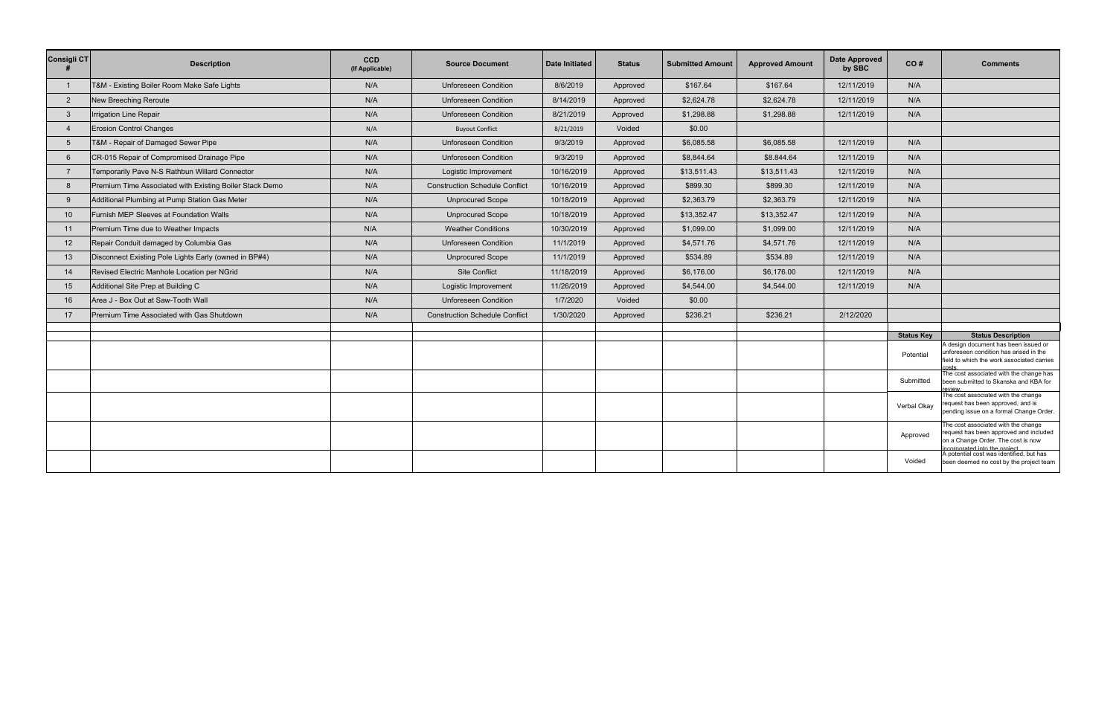| <b>Consigli CT</b>     | <b>Description</b>                                      | <b>CCD</b><br>(If Applicable) | <b>Source Document</b>                | <b>Date Initiated</b> | <b>Status</b> | <b>Submitted Amount</b> | <b>Approved Amount</b> | <b>Date Approved</b><br>by SBC | CO#               | <b>Comments</b>                                                                                                                                      |
|------------------------|---------------------------------------------------------|-------------------------------|---------------------------------------|-----------------------|---------------|-------------------------|------------------------|--------------------------------|-------------------|------------------------------------------------------------------------------------------------------------------------------------------------------|
|                        | T&M - Existing Boiler Room Make Safe Lights             | N/A                           | <b>Unforeseen Condition</b>           | 8/6/2019              | Approved      | \$167.64                | \$167.64               | 12/11/2019                     | N/A               |                                                                                                                                                      |
| $\overline{2}$         | New Breeching Reroute                                   | N/A                           | <b>Unforeseen Condition</b>           | 8/14/2019             | Approved      | \$2,624.78              | \$2,624.78             | 12/11/2019                     | N/A               |                                                                                                                                                      |
| -3                     | Irrigation Line Repair                                  | N/A                           | <b>Unforeseen Condition</b>           | 8/21/2019             | Approved      | \$1,298.88              | \$1,298.88             | 12/11/2019                     | N/A               |                                                                                                                                                      |
| $\boldsymbol{\Lambda}$ | <b>Erosion Control Changes</b>                          | N/A                           | <b>Buyout Conflict</b>                | 8/21/2019             | Voided        | \$0.00                  |                        |                                |                   |                                                                                                                                                      |
| -5                     | T&M - Repair of Damaged Sewer Pipe                      | N/A                           | <b>Unforeseen Condition</b>           | 9/3/2019              | Approved      | \$6,085.58              | \$6,085.58             | 12/11/2019                     | N/A               |                                                                                                                                                      |
| 6                      | CR-015 Repair of Compromised Drainage Pipe              | N/A                           | <b>Unforeseen Condition</b>           | 9/3/2019              | Approved      | \$8,844.64              | \$8.844.64             | 12/11/2019                     | N/A               |                                                                                                                                                      |
| $\overline{7}$         | Temporarily Pave N-S Rathbun Willard Connector          | N/A                           | Logistic Improvement                  | 10/16/2019            | Approved      | \$13,511.43             | \$13,511.43            | 12/11/2019                     | N/A               |                                                                                                                                                      |
| 8                      | Premium Time Associated with Existing Boiler Stack Demo | N/A                           | <b>Construction Schedule Conflict</b> | 10/16/2019            | Approved      | \$899.30                | \$899.30               | 12/11/2019                     | N/A               |                                                                                                                                                      |
| -9                     | Additional Plumbing at Pump Station Gas Meter           | N/A                           | <b>Unprocured Scope</b>               | 10/18/2019            | Approved      | \$2,363.79              | \$2,363.79             | 12/11/2019                     | N/A               |                                                                                                                                                      |
| 10                     | Furnish MEP Sleeves at Foundation Walls                 | N/A                           | <b>Unprocured Scope</b>               | 10/18/2019            | Approved      | \$13,352.47             | \$13,352.47            | 12/11/2019                     | N/A               |                                                                                                                                                      |
| 11                     | Premium Time due to Weather Impacts                     | N/A                           | <b>Weather Conditions</b>             | 10/30/2019            | Approved      | \$1,099.00              | \$1,099.00             | 12/11/2019                     | N/A               |                                                                                                                                                      |
| 12                     | Repair Conduit damaged by Columbia Gas                  | N/A                           | <b>Unforeseen Condition</b>           | 11/1/2019             | Approved      | \$4,571.76              | \$4,571.76             | 12/11/2019                     | N/A               |                                                                                                                                                      |
| 13                     | Disconnect Existing Pole Lights Early (owned in BP#4)   | N/A                           | <b>Unprocured Scope</b>               | 11/1/2019             | Approved      | \$534.89                | \$534.89               | 12/11/2019                     | N/A               |                                                                                                                                                      |
| 14                     | Revised Electric Manhole Location per NGrid             | N/A                           | Site Conflict                         | 11/18/2019            | Approved      | \$6,176.00              | \$6,176.00             | 12/11/2019                     | N/A               |                                                                                                                                                      |
| 15                     | Additional Site Prep at Building C                      | N/A                           | Logistic Improvement                  | 11/26/2019            | Approved      | \$4,544.00              | \$4,544.00             | 12/11/2019                     | N/A               |                                                                                                                                                      |
| 16                     | Area J - Box Out at Saw-Tooth Wall                      | N/A                           | <b>Unforeseen Condition</b>           | 1/7/2020              | Voided        | \$0.00                  |                        |                                |                   |                                                                                                                                                      |
| 17                     | Premium Time Associated with Gas Shutdown               | N/A                           | <b>Construction Schedule Conflict</b> | 1/30/2020             | Approved      | \$236.21                | \$236.21               | 2/12/2020                      |                   |                                                                                                                                                      |
|                        |                                                         |                               |                                       |                       |               |                         |                        |                                |                   |                                                                                                                                                      |
|                        |                                                         |                               |                                       |                       |               |                         |                        |                                | <b>Status Key</b> | <b>Status Description</b><br>A design document has been issued or                                                                                    |
|                        |                                                         |                               |                                       |                       |               |                         |                        |                                | Potential         | unforeseen condition has arised in the<br>field to which the work associated carries                                                                 |
|                        |                                                         |                               |                                       |                       |               |                         |                        |                                | Submitted         | The cost associated with the change has<br>been submitted to Skanska and KBA for<br>review                                                           |
|                        |                                                         |                               |                                       |                       |               |                         |                        |                                | Verbal Okay       | The cost associated with the change<br>request has been approved, and is<br>pending issue on a formal Change Order.                                  |
|                        |                                                         |                               |                                       |                       |               |                         |                        |                                | Approved          | The cost associated with the change<br>request has been approved and included<br>on a Change Order. The cost is now<br>incorporated into the project |
|                        |                                                         |                               |                                       |                       |               |                         |                        |                                | Voided            | A potential cost was identified, but has<br>been deemed no cost by the project team                                                                  |